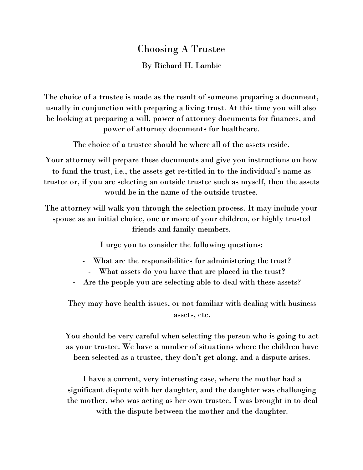## Choosing A Trustee

By Richard H. Lambie

The choice of a trustee is made as the result of someone preparing a document, usually in conjunction with preparing a living trust. At this time you will also be looking at preparing a will, power of attorney documents for finances, and power of attorney documents for healthcare.

The choice of a trustee should be where all of the assets reside.

Your attorney will prepare these documents and give you instructions on how to fund the trust, i.e., the assets get re-titled in to the individual's name as trustee or, if you are selecting an outside trustee such as myself, then the assets would be in the name of the outside trustee.

The attorney will walk you through the selection process. It may include your spouse as an initial choice, one or more of your children, or highly trusted friends and family members.

I urge you to consider the following questions:

- What are the responsibilities for administering the trust?
- What assets do you have that are placed in the trust?
- Are the people you are selecting able to deal with these assets?

They may have health issues, or not familiar with dealing with business assets, etc.

You should be very careful when selecting the person who is going to act as your trustee. We have a number of situations where the children have been selected as a trustee, they don't get along, and a dispute arises.

I have a current, very interesting case, where the mother had a significant dispute with her daughter, and the daughter was challenging the mother, who was acting as her own trustee. I was brought in to deal with the dispute between the mother and the daughter.